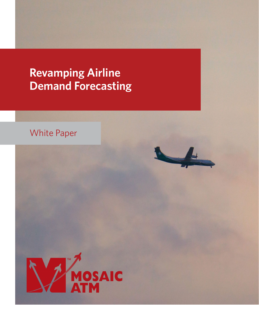# **Revamping Airline Demand Forecasting**





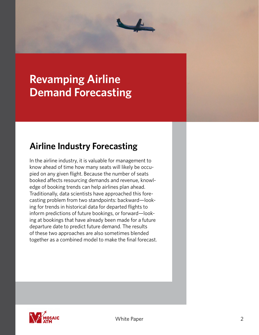

# **Revamping Airline Demand Forecasting**

#### **Airline Industry Forecasting**

In the airline industry, it is valuable for management to know ahead of time how many seats will likely be occupied on any given flight. Because the number of seats booked affects resourcing demands and revenue, knowledge of booking trends can help airlines plan ahead. Traditionally, data scientists have approached this forecasting problem from two standpoints: backward—looking for trends in historical data for departed flights to inform predictions of future bookings, or forward—looking at bookings that have already been made for a future departure date to predict future demand. The results of these two approaches are also sometimes blended together as a combined model to make the final forecast.

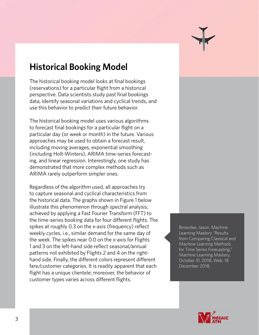#### **Historical Booking Model**

The historical booking model looks at final bookings (reservations) for a particular flight from a historical perspective. Data scientists study past final bookings data, identify seasonal variations and cyclical trends, and use this behavior to predict their future behavior.

The historical booking model uses various algorithms to forecast final bookings for a particular flight on a particular day (or week or month) in the future. Various approaches may be used to obtain a forecast result, including moving averages, exponential smoothing (including Holt-Winters), ARIMA time-series forecasting, and linear regression. Interestingly, one study has demonstrated that more complex methods such as ARIMA rarely outperform simpler ones.

Regardless of the algorithm used, all approaches try to capture seasonal and cyclical characteristics from the historical data. The graphs shown in Figure 1 below illustrate this phenomenon through spectral analysis, achieved by applying a Fast Fourier Transform (FFT) to the time-series booking data for four different flights. The spikes at roughly 0.3 on the x-axis (frequency) reflect weekly cycles, i.e., similar demand for the same day of the week. The spikes near 0.0 on the x-axis for Flights 1 and 3 on the left-hand side reflect seasonal/annual patterns not exhibited by Flights 2 and 4 on the righthand side. Finally, the different colors represent different fare/customer categories. It is readily apparent that each flight has a unique clientele; moreover, the behavior of customer types varies across different flights.

Brownlee, Jason. Machine Learning Mastery "Results from Comparing Classical and Machine Learning Methods for Time Series Forecasting," Machine Learning Mastery, October 31, 2018, Web. 18 December 2018.

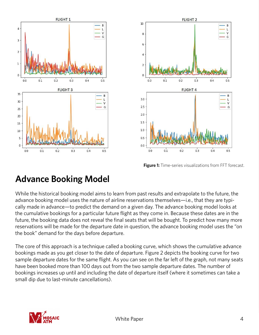



**Figure 1:** Time-series visualizations from FFT forecast.

### **Advance Booking Model**

While the historical booking model aims to learn from past results and extrapolate to the future, the advance booking model uses the nature of airline reservations themselves—i.e., that they are typically made in advance—to predict the demand on a given day. The advance booking model looks at the cumulative bookings for a particular future flight as they come in. Because these dates are in the future, the booking data does not reveal the final seats that will be bought. To predict how many more reservations will be made for the departure date in question, the advance booking model uses the "on the book" demand for the days before departure.

The core of this approach is a technique called a booking curve, which shows the cumulative advance bookings made as you get closer to the date of departure. Figure 2 depicts the booking curve for two sample departure dates for the same flight. As you can see on the far left of the graph, not many seats have been booked more than 100 days out from the two sample departure dates. The number of bookings increases up until and including the date of departure itself (where it sometimes can take a small dip due to last-minute cancellations).

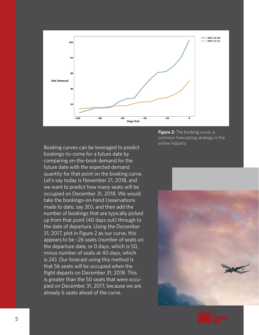

Booking curves can be leveraged to predict bookings-to-come for a future date by comparing on-the-book demand for the future date with the expected demand quantity for that point on the booking curve. Let's say today is November 21, 2018, and we want to predict how many seats will be occupied on December 31, 2018. We would take the bookings-on-hand (reservations made to date, say 30), and then add the number of bookings that are typically picked up from that point (40 days out) through to the date of departure. Using the December 31, 2017, plot in Figure 2 as our curve, this appears to be ~26 seats (number of seats on the departure date, or 0 days, which is 50, minus number of seats at 40 days, which is 24). Our forecast using this method is that 56 seats will be occupied when the flight departs on December 31, 2018. This is greater than the 50 seats that were occupied on December 31, 2017, because we are already 6 seats ahead of the curve.

**Figure 2:** The booking curve, a common forecasting strategy in the airline industry



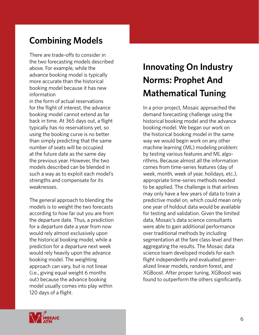### **Combining Models**

There are trade-offs to consider in the two forecasting models described above. For example, while the advance booking model is typically more accurate than the historical booking model because it has new information

in the form of actual reservations for the flight of interest, the advance booking model cannot extend as far back in time. At 365 days out, a flight typically has no reservations yet, so using the booking curve is no better than simply predicting that the same number of seats will be occupied at the future date as the same day the previous year. However, the two models described can be blended in such a way as to exploit each model's strengths and compensate for its weaknesses.

The general approach to blending the models is to weight the two forecasts according to how far out you are from the departure date. Thus, a prediction for a departure date a year from now would rely almost exclusively upon the historical booking model, while a prediction for a departure next week would rely heavily upon the advance booking model. The weighting approach can vary, but is not linear (i.e., giving equal weight 6 months out) because the advance booking model usually comes into play within 120 days of a flight.

White Paper

## **Innovating On Industry Norms: Prophet And Mathematical Tuning**

In a prior project, Mosaic approached the demand forecasting challenge using the historical booking model and the advance booking model. We began our work on the historical booking model in the same way we would begin work on any other machine learning (ML) modeling problem: by testing various features and ML algorithms. Because almost all the information comes from time-series features (day of week, month, week of year, holidays, etc.), appropriate time-series methods needed to be applied. The challenge is that airlines may only have a few years of data to train a predictive model on, which could mean only one year of holdout data would be available for testing and validation. Given the limited data, Mosaic's data science consultants were able to gain additional performance over traditional methods by including segmentation at the fare class level and then aggregating the results. The Mosaic data science team developed models for each flight independently and evaluated generalized linear models, random forest, and XGBoost. After proper tuning, XGBoost was found to outperform the others significantly.

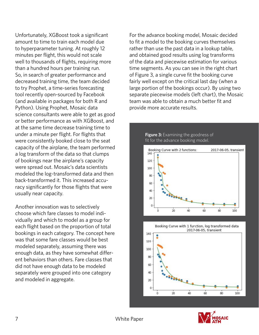Unfortunately, XGBoost took a significant amount to time to train each model due to hyperparameter tuning. At roughly 12 minutes per flight, this would not scale well to thousands of flights, requiring more than a hundred hours per training run. So, in search of greater performance and decreased training time, the team decided to try Prophet, a time-series forecasting tool recently open-sourced by Facebook (and available in packages for both R and Python). Using Prophet, Mosaic data science consultants were able to get as good or better performance as with XGBoost, and at the same time decrease training time to under a minute per flight. For flights that were consistently booked close to the seat capacity of the airplane, the team performed a log transform of the data so that clumps of bookings near the airplane's capacity were spread out. Mosaic's data scientists modeled the log-transformed data and then back-transformed it. This increased accuracy significantly for those flights that were usually near capacity.

Another innovation was to selectively choose which fare classes to model individually and which to model as a group for each flight based on the proportion of total bookings in each category. The concept here was that some fare classes would be best modeled separately, assuming there was enough data, as they have somewhat different behaviors than others. Fare classes that did not have enough data to be modeled separately were grouped into one category and modeled in aggregate.

For the advance booking model, Mosaic decided to fit a model to the booking curves themselves rather than use the past data in a lookup table, and obtained good results using log transforms of the data and piecewise estimation for various time segments. As you can see in the right chart of Figure 3, a single curve fit the booking curve fairly well except on the critical last day (when a large portion of the bookings occur). By using two separate piecewise models (left chart), the Mosaic team was able to obtain a much better fit and provide more accurate results.